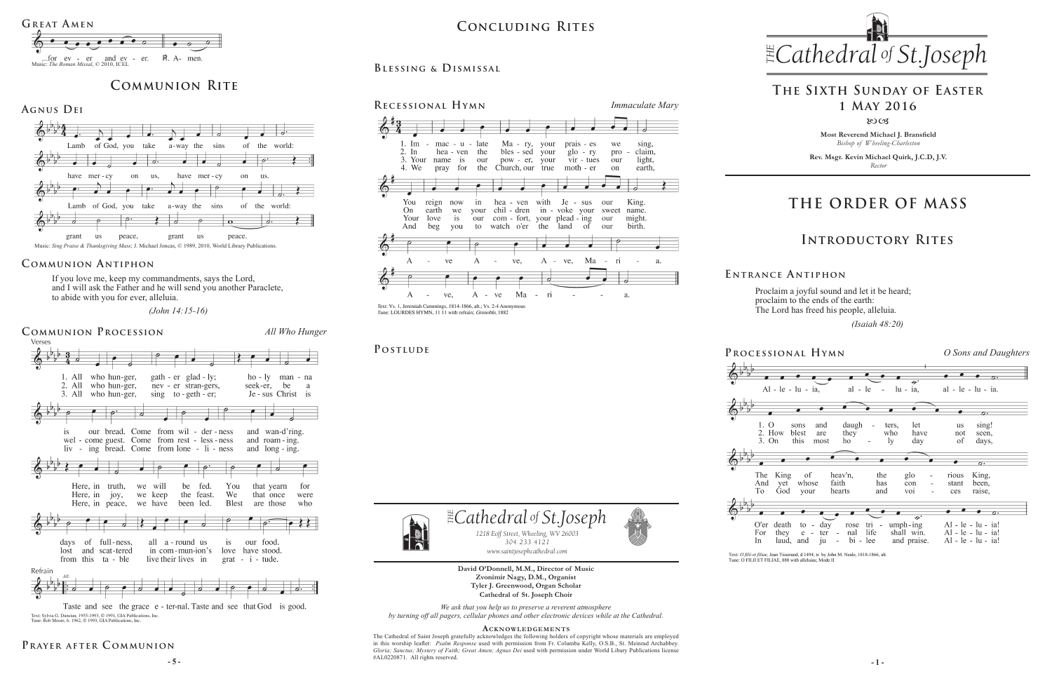**Most Reverend Michael J. Bransfield** *Bishop of Wheeling-Charleston*

**Rev. Msgr. Kevin Michael Quirk, J.C.D, J.V.** *Rector*



Proclaim a joyful sound and let it be heard; proclaim to the ends of the earth: The Lord has freed his people, alleluia.

 *(Isaiah 48:20)* 

*We ask that you help us to preserve a reverent atmosphere by turning off all pagers, cellular phones and other electronic devices while at the Cathedral.*

**- 5 - - 1 -** The Cathedral of Saint Joseph gratefully acknowledges the following holders of copyright whose materials are employed in this worship leaflet: *Psalm Response* used with permission from Fr. Columba Kelly, O.S.B., St. Meinrad Archabbey. *Gloria; Sanctus; Mystery of Faith; Great Amen; Agnus Dei* used with permission under World Libary Publications license #AL0220871.All rights reserved.









#### **Acknowledgement s**

 $\exists$  *Cathedral* of *St.Joseph 1218 Eoff Street, Wheeling, WV 26003 304.233.4121*



**David O'Donnell, M.M., Director of Music Zvonimir Nagy, D.M., Organist Tyler J. Greenwood, Organ Scholar Cathedral of St. Joseph Choir** *www.saintjosephcathedral.com*

*304.233.4121*

*www.saintjosephcathedral.com*

If you love me, keep my commandments, says the Lord, and I will ask the Father and he will send you another Paraclete, to abide with you for ever, alleluia.

# *Cathedral St THE of .Joseph* **Concluding Rites**

 *(John 14:15-16)*

# **THE ORDER OF MASS**

**Processional Hymn** *O Sons and Daughters*

Text: O filii et filiae. Jean Tisserand. d.1494: tr. by John M. Neale. 1818-1866. alt Tune: O FILII ET FILIAE, 888 with alleluias; Mode II

**E ntrance A ntiphon**

# **Introductory Rites**

# **The Sixth Sunday of Easter 1 May 2016**

 $80C<sub>3</sub>$ 

# **Communion Rite**

#### Music: *Sing Praise & Thanksgiving Mass*; J. Michael Joncas, © 1989, 2010, World Library Publications.

**Agnus Dei**



#### **Communion Antiphon**

## **Prayer after C ommunion**

## **Blessing & Dismissal**



### POSTLUDE